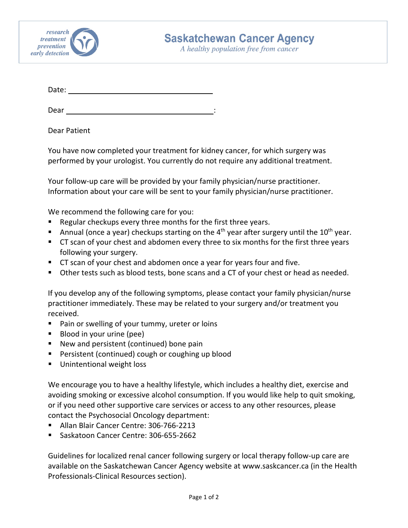

A healthy population free from cancer

Date:

Dear :

Dear Patient

You have now completed your treatment for kidney cancer, for which surgery was performed by your urologist. You currently do not require any additional treatment.

Your follow-up care will be provided by your family physician/nurse practitioner. Information about your care will be sent to your family physician/nurse practitioner.

We recommend the following care for you:

- **Regular checkups every three months for the first three years.**
- Annual (once a year) checkups starting on the  $4<sup>th</sup>$  year after surgery until the  $10<sup>th</sup>$  year.
- CT scan of your chest and abdomen every three to six months for the first three years following your surgery.
- CT scan of your chest and abdomen once a year for years four and five.
- Other tests such as blood tests, bone scans and a CT of your chest or head as needed.

If you develop any of the following symptoms, please contact your family physician/nurse practitioner immediately. These may be related to your surgery and/or treatment you received.

- **Pain or swelling of your tummy, ureter or loins**
- Blood in your urine (pee)
- New and persistent (continued) bone pain
- **Persistent (continued) cough or coughing up blood**
- **Unintentional weight loss**

We encourage you to have a healthy lifestyle, which includes a healthy diet, exercise and avoiding smoking or excessive alcohol consumption. If you would like help to quit smoking, or if you need other supportive care services or access to any other resources, please contact the Psychosocial Oncology department:

- Allan Blair Cancer Centre: 306-766-2213
- Saskatoon Cancer Centre: 306-655-2662

Guidelines for localized renal cancer following surgery or local therapy follow-up care are available on the Saskatchewan Cancer Agency website at www.saskcancer.ca (in the Health Professionals-Clinical Resources section).